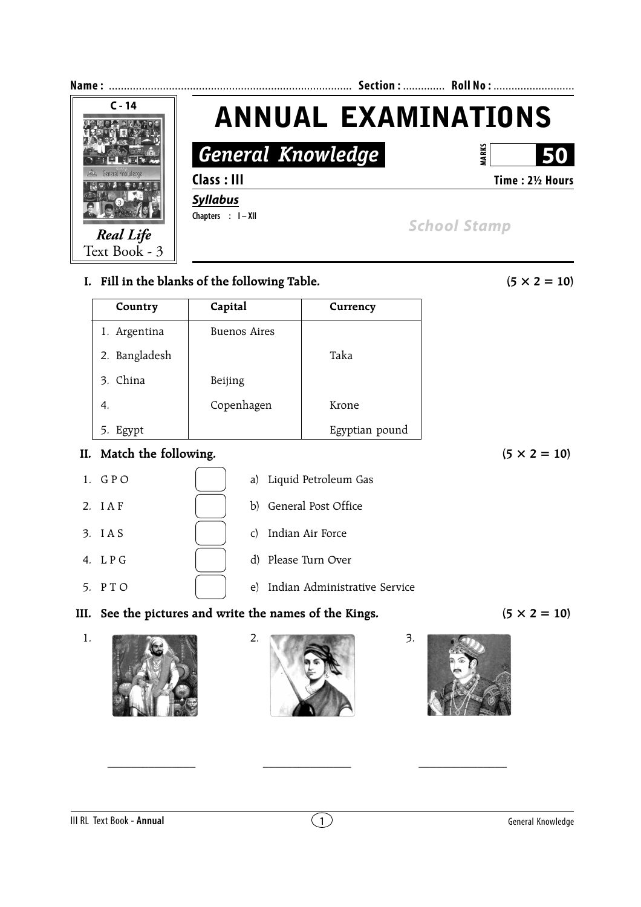

 $\frac{1}{\sqrt{2}}$  ,  $\frac{1}{\sqrt{2}}$  ,  $\frac{1}{\sqrt{2}}$  ,  $\frac{1}{\sqrt{2}}$  ,  $\frac{1}{\sqrt{2}}$  ,  $\frac{1}{\sqrt{2}}$  ,  $\frac{1}{\sqrt{2}}$  ,  $\frac{1}{\sqrt{2}}$  ,  $\frac{1}{\sqrt{2}}$  ,  $\frac{1}{\sqrt{2}}$  ,  $\frac{1}{\sqrt{2}}$  ,  $\frac{1}{\sqrt{2}}$  ,  $\frac{1}{\sqrt{2}}$  ,  $\frac{1}{\sqrt{2}}$  ,  $\frac{1}{\sqrt{2}}$